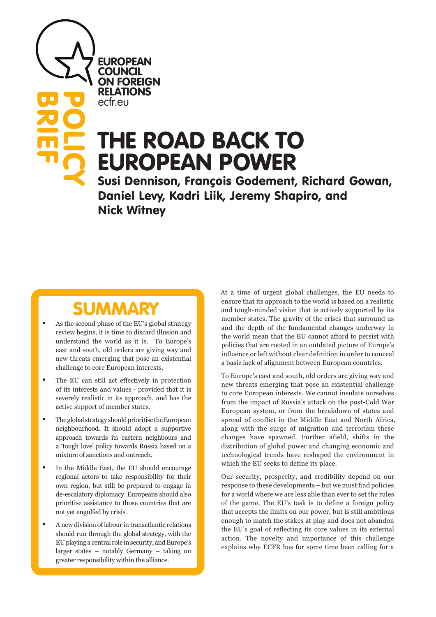EUROPEAN **COUNCIL** ON FOREIGN RELATIONS ecfr.eu

**BRIEF**<br>BRIEF

POLICY

## THE ROAD BACK TO EUROPEAN POWER

Susi Dennison, François Godement, Richard Gowan, Daniel Levy, Kadri Liik, Jeremy Shapiro, and Nick Witney

# **SUMMARY**<br>As the second phase of the EU's global strategy

- review begins, it is time to discard illusion and understand the world as it is. To Europe's east and south, old orders are giving way and new threats emerging that pose an existential challenge to core European interests.
- The EU can still act effectively in protection of its interests and values - provided that it is severely realistic in its approach, and has the active support of member states.
- The global strategy should prioritise the European neighbourhood. It should adopt a supportive approach towards its eastern neighbours and a 'tough love' policy towards Russia based on a mixture of sanctions and outreach.
- In the Middle East, the EU should encourage regional actors to take responsibility for their own region, but still be prepared to engage in de-escalatory diplomacy. Europeans should also prioritise assistance to those countries that are not yet engulfed by crisis.
- A new division of labour in transatlantic relations should run through the global strategy, with the EU playing a central role in security, and Europe's larger states – notably Germany – taking on greater responsibility within the alliance.

At a time of urgent global challenges, the EU needs to ensure that its approach to the world is based on a realistic and tough-minded vision that is actively supported by its member states. The gravity of the crises that surround us and the depth of the fundamental changes underway in the world mean that the EU cannot afford to persist with policies that are rooted in an outdated picture of Europe's influence or left without clear definition in order to conceal a basic lack of alignment between European countries.

To Europe's east and south, old orders are giving way and new threats emerging that pose an existential challenge to core European interests. We cannot insulate ourselves from the impact of Russia's attack on the post-Cold War European system, or from the breakdown of states and spread of conflict in the Middle East and North Africa, along with the surge of migration and terrorism these changes have spawned. Further afield, shifts in the distribution of global power and changing economic and technological trends have reshaped the environment in which the EU seeks to define its place.

Our security, prosperity, and credibility depend on our response to these developments – but we must find policies for a world where we are less able than ever to set the rules of the game. The EU's task is to define a foreign policy that accepts the limits on our power, but is still ambitious enough to match the stakes at play and does not abandon the EU's goal of reflecting its core values in its external action. The novelty and importance of this challenge explains why ECFR has for some time been calling for a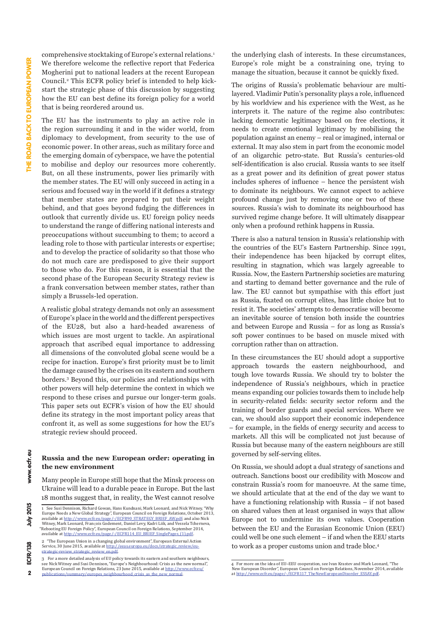comprehensive stocktaking of Europe's external relations.1 We therefore welcome the reflective report that Federica Mogherini put to national leaders at the recent European Council.2 This ECFR policy brief is intended to help kickstart the strategic phase of this discussion by suggesting how the EU can best define its foreign policy for a world that is being reordered around us.

The EU has the instruments to play an active role in the region surrounding it and in the wider world, from diplomacy to development, from security to the use of economic power. In other areas, such as military force and the emerging domain of cyberspace, we have the potential to mobilise and deploy our resources more coherently. But, on all these instruments, power lies primarily with the member states. The EU will only succeed in acting in a serious and focused way in the world if it defines a strategy that member states are prepared to put their weight behind, and that goes beyond fudging the differences in outlook that currently divide us. EU foreign policy needs to understand the range of differing national interests and preoccupations without succumbing to them; to accord a leading role to those with particular interests or expertise; and to develop the practice of solidarity so that those who do not much care are predisposed to give their support to those who do. For this reason, it is essential that the second phase of the European Security Strategy review is a frank conversation between member states, rather than simply a Brussels-led operation.

A realistic global strategy demands not only an assessment of Europe's place in the world and the different perspectives of the EU28, but also a hard-headed awareness of which issues are most urgent to tackle. An aspirational approach that ascribed equal importance to addressing all dimensions of the convoluted global scene would be a recipe for inaction. Europe's first priority must be to limit the damage caused by the crises on its eastern and southern borders.3 Beyond this, our policies and relationships with other powers will help determine the context in which we respond to these crises and pursue our longer-term goals. This paper sets out ECFR's vision of how the EU should define its strategy in the most important policy areas that confront it, as well as some suggestions for how the EU's strategic review should proceed.

#### **Russia and the new European order: operating in the new environment**

Many people in Europe still hope that the Minsk process on Ukraine will lead to a durable peace in Europe. But the last 18 months suggest that, in reality, the West cannot resolve

the underlying clash of interests. In these circumstances, Europe's role might be a constraining one, trying to manage the situation, because it cannot be quickly fixed.

The origins of Russia's problematic behaviour are multilayered. Vladimir Putin's personality plays a role, influenced by his worldview and his experience with the West, as he interprets it. The nature of the regime also contributes: lacking democratic legitimacy based on free elections, it needs to create emotional legitimacy by mobilising the population against an enemy – real or imagined, internal or external. It may also stem in part from the economic model of an oligarchic petro-state. But Russia's centuries-old self-identification is also crucial. Russia wants to see itself as a great power and its definition of great power status includes spheres of influence – hence the persistent wish to dominate its neighbours. We cannot expect to achieve profound change just by removing one or two of these sources. Russia's wish to dominate its neighbourhood has survived regime change before. It will ultimately disappear only when a profound rethink happens in Russia.

There is also a natural tension in Russia's relationship with the countries of the EU's Eastern Partnership. Since 1991, their independence has been hijacked by corrupt elites, resulting in stagnation, which was largely agreeable to Russia. Now, the Eastern Partnership societies are maturing and starting to demand better governance and the rule of law. The EU cannot but sympathise with this effort just as Russia, fixated on corrupt elites, has little choice but to resist it. The societies' attempts to democratise will become an inevitable source of tension both inside the countries and between Europe and Russia – for as long as Russia's soft power continues to be based on muscle mixed with corruption rather than on attraction.

In these circumstances the EU should adopt a supportive approach towards the eastern neighbourhood, and tough love towards Russia. We should try to bolster the independence of Russia's neighbours, which in practice means expanding our policies towards them to include help in security-related fields: security sector reform and the training of border guards and special services. Where we can, we should also support their economic independence – for example, in the fields of energy security and access to markets. All this will be complicated not just because of Russia but because many of the eastern neighbours are still governed by self-serving elites.

On Russia, we should adopt a dual strategy of sanctions and outreach. Sanctions boost our credibility with Moscow and constrain Russia's room for manoeuvre. At the same time, we should articulate that at the end of the day we want to have a functioning relationship with Russia – if not based on shared values then at least organised in ways that allow Europe not to undermine its own values. Cooperation between the EU and the Eurasian Economic Union (EEU) could well be one such element – if and when the EEU starts to work as a proper customs union and trade bloc.4

 $\overline{2}$ 

www.ecfr.eu

<sup>1</sup> See Susi Dennison, Richard Gowan, Hans Kundnani, Mark Leonard, and Nick Witney, "Why Europe Needs a New Global Strategy", European Council on Foreign Relations, October 2013,<br>available at <u>http://www.ecfr.eu/page/-/ECFR90\_STRATEGY\_BRIEF\_AW.pdf;</u> and also Nick Witney, Mark Leonard, François Godement, Daniel Levy, Kadri Liik, and Vessela Tcherneva, "Rebooting EU Foreign Policy", European Council on Foreign Relations, September 2014, available at [http://www.ecfr.eu/page/-/ECFR114\\_EU\\_BRIEF\\_SinglePages\\_\(1\).pdf.](http://www.ecfr.eu/page/-/ECFR114_EU_BRIEF_SinglePages_(1).pdf)

<sup>2</sup> "The European Union in a changing global environment", European External Action Service, 30 June 2015, available at [http://eeas.europa.eu/docs/strategic\\_review/eu-](http://eeas.europa.eu/docs/strategic_review/eu-strategic-review_strategic_review_en.pdf)[strategic-review\\_strategic\\_review\\_en.pdf.](http://eeas.europa.eu/docs/strategic_review/eu-strategic-review_strategic_review_en.pdf)

<sup>3</sup> For a more detailed analysis of EU policy towards its eastern and southern neighbours, see Nick Witney and Susi Dennison, "Europe's Neighbourhood: Crisis as the new normal", European Council on Foreign Relations, 23 June 2015, available at [http://www.ecfr.eu/](http://www.ecfr.eu/publications/summary/europes_neighbourhood_crisis_as_the_new_normal) [publications/summary/europes\\_neighbourhood\\_crisis\\_as\\_the\\_new\\_normal](http://www.ecfr.eu/publications/summary/europes_neighbourhood_crisis_as_the_new_normal).

<sup>4</sup> For more on the idea of EU–EEU cooperation, see Ivan Krastev and Mark Leonard, "The New European Disorder", European Council on Foreign Relations, November 2014, available at [http://www.ecfr.eu/page/-/ECFR117\\_TheNewEuropeanDisorder\\_ESSAY.pdf.](http://www.ecfr.eu/page/-/ECFR117_TheNewEuropeanDisorder_ESSAY.pdf)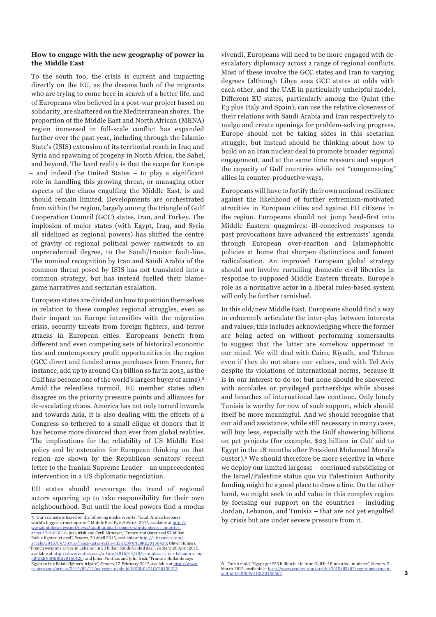#### **How to engage with the new geography of power in the Middle East**

To the south too, the crisis is current and impacting directly on the EU, as the dreams both of the migrants who are trying to come here in search of a better life, and of Europeans who believed in a post-war project based on solidarity, are shattered on the Mediterranean shores. The proportion of the Middle East and North African (MENA) region immersed in full-scale conflict has expanded further over the past year, including through the Islamic State's (ISIS) extension of its territorial reach in Iraq and Syria and spawning of progeny in North Africa, the Sahel, and beyond. The hard reality is that the scope for Europe – and indeed the United States – to play a significant role in handling this growing threat, or managing other aspects of the chaos engulfing the Middle East, is and should remain limited. Developments are orchestrated from within the region, largely among the triangle of Gulf Cooperation Council (GCC) states, Iran, and Turkey. The implosion of major states (with Egypt, Iraq, and Syria all sidelined as regional powers) has shifted the centre of gravity of regional political power eastwards to an unprecedented degree, to the Saudi/Iranian fault-line. The nominal recognition by Iran and Saudi Arabia of the common threat posed by ISIS has not translated into a common strategy, but has instead fuelled their blamegame narratives and sectarian escalation.

European states are divided on how to position themselves in relation to these complex regional struggles, even as their impact on Europe intensifies with the migration crisis, security threats from foreign fighters, and terror attacks in European cities. Europeans benefit from different and even competing sets of historical economic ties and contemporary profit opportunities in the region (GCC direct and funded arms purchases from France, for instance, add up to around €14 billion so far in 2015, as the Gulf has become one of the world's largest buyer of arms).5 Amid the relentless turmoil, EU member states often disagree on the priority pressure points and alliances for de-escalating chaos. America has not only turned inwards and towards Asia, it is also dealing with the effects of a Congress so tethered to a small clique of donors that it has become more divorced than ever from global realities. The implications for the reliability of US Middle East policy and by extension for European thinking on that region are shown by the Republican senators' recent letter to the Iranian Supreme Leader – an unprecedented intervention in a US diplomatic negotiation*.*

EU states should encourage the trend of regional actors squaring up to take responsibility for their own neighbourhood. But until the local powers find a modus

5 Our estimate is based on the following media reports: "Saudi Arabia becomes world's biggest arms importer", Middle East Eye, 8 March 2015, available at [http://](http://www.middleeasteye.net/news/saudi-arabia-becomes-worlds-biggest-importer-arms-1761403816)

[www.middleeasteye.net/news/saudi-arabia-becomes-worlds-biggest-importer](http://www.middleeasteye.net/news/saudi-arabia-becomes-worlds-biggest-importer-arms-1761403816)[arms-1761403816](http://www.middleeasteye.net/news/saudi-arabia-becomes-worlds-biggest-importer-arms-1761403816); Josh Irish and Cyril Altmeyer, "France and Qatar seal \$7 billion Rafale fighter jet deal", *Reuters*, 30 April 2015, available at http://uk.reuters [article/2015/04/30/uk-france-qatar-rafale-idUKKBN0NL0RE20150430;](http://uk.reuters.com/article/2015/04/30/uk-france-qatar-rafale-idUKKBN0NL0RE20150430) Oliver Holmes "French weapons arrive in Lebanon in \$3 billion Saudi-funded deal", *Reuters*, 20 April 2015, available at http://www.reuters.com/article/2015/04/20/us-mideast-crisis-leb [idUSKBN0NB0GI20150420](http://www.reuters.com/article/2015/04/20/us-mideast-crisis-lebanon-army-idUSKBN0NB0GI20150420); and Julien Ponthus and John Irish, "France's Hollande says Egypt to buy Rafale fighters, frigate", *Reuters*, 12 February 2015, available at [http://www.](http://www.reuters.com/article/2015/02/12/us-egypt-rafale-idUSKBN0LG1QV20150212)<br>
reuters com/article/2015/02/12/us-egypt-rafale-idlISKRN0LG10V20150212 -egypt-rafale-idUSKBN0LG1QV20150212

vivendi, Europeans will need to be more engaged with deescalatory diplomacy across a range of regional conflicts. Most of these involve the GCC states and Iran to varying degrees (although Libya sees GCC states at odds with each other, and the UAE in particularly unhelpful mode). Different EU states, particularly among the Quint (the E3 plus Italy and Spain), can use the relative closeness of their relations with Saudi Arabia and Iran respectively to nudge and create openings for problem-solving progress. Europe should not be taking sides in this sectarian struggle, but instead should be thinking about how to build on an Iran nuclear deal to promote broader regional engagement, and at the same time reassure and support the capacity of Gulf countries while not "compensating" allies in counter-productive ways.

Europeans will have to fortify their own national resilience against the likelihood of further extremism-motivated atrocities in European cities and against EU citizens in the region. Europeans should not jump head-first into Middle Eastern quagmires: ill-conceived responses to past provocations have advanced the extremists' agenda through European over-reaction and Islamophobic policies at home that sharpen distinctions and foment radicalisation. An improved European global strategy should not involve curtailing domestic civil liberties in response to supposed Middle Eastern threats. Europe's role as a normative actor in a liberal rules-based system will only be further tarnished.

In this old/new Middle East, Europeans should find a way to coherently articulate the inter-play between interests and values; this includes acknowledging where the former are being acted on without performing somersaults to suggest that the latter are somehow uppermost in our mind. We will deal with Cairo, Riyadh, and Tehran even if they do not share our values, and with Tel Aviv despite its violations of international norms, because it is in our interest to do so; but none should be showered with accolades or privileged partnerships while abuses and breaches of international law continue. Only lonely Tunisia is worthy for now of such support, which should itself be more meaningful. And we should recognise that our aid and assistance, while still necessary in many cases, will buy less, especially with the Gulf showering billions on pet projects (for example, \$23 billion in Gulf aid to Egypt in the 18 months after President Mohamed Morsi's ouster).6 We should therefore be more selective in where we deploy our limited largesse – continued subsidising of the Israel/Palestine status quo via Palestinian Authority funding might be a good place to draw a line. On the other hand, we might seek to add value in this complex region by focusing our support on the countries – including Jordan, Lebanon, and Tunisia – that are not yet engulfed by crisis but are under severe pressure from it.

<sup>6</sup> Tom Arnold, "Egypt got \$23 billion in aid from Gulf in 18 months – minister", *Reuters*, 2 March 2015, available at http://www.reuters.com/article/2015/03/02/egypt-in materizons, available at  $\frac{m_1m_2}{2}$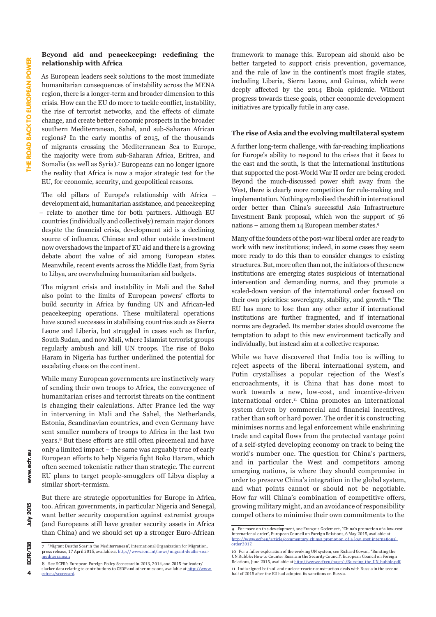#### **Beyond aid and peacekeeping: redefining the relationship with Africa**

As European leaders seek solutions to the most immediate humanitarian consequences of instability across the MENA region, there is a longer-term and broader dimension to this crisis. How can the EU do more to tackle conflict, instability, the rise of terrorist networks, and the effects of climate change, and create better economic prospects in the broader southern Mediterranean, Sahel, and sub-Saharan African regions? In the early months of 2015, of the thousands of migrants crossing the Mediterranean Sea to Europe, the majority were from sub-Saharan Africa, Eritrea, and Somalia (as well as Syria).7 Europeans can no longer ignore the reality that Africa is now a major strategic test for the EU, for economic, security, and geopolitical reasons.

The old pillars of Europe's relationship with Africa – development aid, humanitarian assistance, and peacekeeping – relate to another time for both partners. Although EU countries (individually and collectively) remain major donors despite the financial crisis, development aid is a declining source of influence. Chinese and other outside investment now overshadows the impact of EU aid and there is a growing debate about the value of aid among European states. Meanwhile, recent events across the Middle East, from Syria to Libya, are overwhelming humanitarian aid budgets.

The migrant crisis and instability in Mali and the Sahel also point to the limits of European powers' efforts to build security in Africa by funding UN and African-led peacekeeping operations. These multilateral operations have scored successes in stabilising countries such as Sierra Leone and Liberia, but struggled in cases such as Darfur, South Sudan, and now Mali, where Islamist terrorist groups regularly ambush and kill UN troops. The rise of Boko Haram in Nigeria has further underlined the potential for escalating chaos on the continent.

While many European governments are instinctively wary of sending their own troops to Africa, the convergence of humanitarian crises and terrorist threats on the continent is changing their calculations. After France led the way in intervening in Mali and the Sahel, the Netherlands, Estonia, Scandinavian countries, and even Germany have sent smaller numbers of troops to Africa in the last two years.8 But these efforts are still often piecemeal and have only a limited impact – the same was arguably true of early European efforts to help Nigeria fight Boko Haram, which often seemed tokenistic rather than strategic. The current EU plans to target people-smugglers off Libya display a similar short-termism.

But there are strategic opportunities for Europe in Africa, too. African governments, in particular Nigeria and Senegal, want better security cooperation against extremist groups (and Europeans still have greater security assets in Africa than China) and we should set up a stronger Euro-African

framework to manage this. European aid should also be better targeted to support crisis prevention, governance, and the rule of law in the continent's most fragile states, including Liberia, Sierra Leone, and Guinea, which were deeply affected by the 2014 Ebola epidemic. Without progress towards these goals, other economic development initiatives are typically futile in any case.

#### **The rise of Asia and the evolving multilateral system**

A further long-term challenge, with far-reaching implications for Europe's ability to respond to the crises that it faces to the east and the south, is that the international institutions that supported the post-World War II order are being eroded. Beyond the much-discussed power shift away from the West, there is clearly more competition for rule-making and implementation. Nothing symbolised the shift in international order better than China's successful Asia Infrastructure Investment Bank proposal, which won the support of 56 nations – among them 14 European member states.9

Many of the founders of the post-war liberal order are ready to work with new institutions; indeed, in some cases they seem more ready to do this than to consider changes to existing structures. But, more often than not, the initiators of these new institutions are emerging states suspicious of international intervention and demanding norms, and they promote a scaled-down version of the international order focused on their own priorities: sovereignty, stability, and growth.10 The EU has more to lose than any other actor if international institutions are further fragmented, and if international norms are degraded. Its member states should overcome the temptation to adapt to this new environment tactically and individually, but instead aim at a collective response.

While we have discovered that India too is willing to reject aspects of the liberal international system, and Putin crystallises a popular rejection of the West's encroachments, it is China that has done most to work towards a new, low-cost, and incentive-driven international order.<sup>11</sup> China promotes an international system driven by commercial and financial incentives, rather than soft or hard power. The order it is constructing minimises norms and legal enforcement while enshrining trade and capital flows from the protected vantage point of a self-styled developing economy on track to being the world's number one. The question for China's partners, and in particular the West and competitors among emerging nations, is where they should compromise in order to preserve China's integration in the global system, and what points cannot or should not be negotiable. How far will China's combination of competitive offers, growing military might, and an avoidance of responsibility compel others to minimise their own commitments to the

 $\Delta$ 

a

www.ecfr.

**2015**  $\frac{1}{2}$ 

<sup>7</sup> "Migrant Deaths Soar in the Mediterranean", International Organization for Migration, press release, 17 April 2015, available at [http://www.iom.int/news/migrant-deaths-soar](http://www.iom.int/news/migrant-deaths-soar-mediterranean)**[mediterranean](http://www.iom.int/news/migrant-deaths-soar-mediterranean)** 

<sup>8</sup> See ECFR's European Foreign Policy Scorecard in 2013, 2014, and 2015 for leader/ slacker data relating to contributions to CSDP and other missions, available at [http://www.](http://www.ecfr.eu/scorecard) [ecfr.eu/scorecard.](http://www.ecfr.eu/scorecard)

For more on this development, see François Godement, "China's promotion of a low-cost international order", European Council on Foreign Relations, 6 May 2015, available at http://www.ecfr.eu/article/commentary\_chinas\_promotion\_of\_a\_low\_cost\_internation [order3017](http://www.ecfr.eu/article/commentary_chinas_promotion_of_a_low_cost_international_order3017)

<sup>10</sup> For a fuller exploration of the evolving UN system, see Richard Gowan, "Bursting the UN Bubble: How to Counter Russia in the Security Council", European Council on Foreign Relations, June 2015, available at [http://www.ecfr.eu/page/-/Bursting\\_the\\_UN\\_bubble.pdf](http://www.ecfr.eu/page/-/Bursting_the_UN_bubble.pdf). 11 India signed both oil and nuclear-reactor construction deals with Russia in the second half of 2015 after the EU had adopted its sanctions on Russia.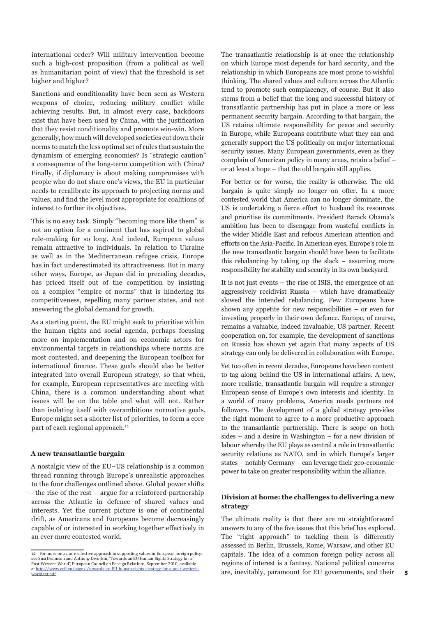international order? Will military intervention become such a high-cost proposition (from a political as well as humanitarian point of view) that the threshold is set higher and higher?

Sanctions and conditionality have been seen as Western weapons of choice, reducing military conflict while achieving results. But, in almost every case, backdoors exist that have been used by China, with the justification that they resist conditionality and promote win-win. More generally, how much will developed societies cut down their norms to match the less optimal set of rules that sustain the dynamism of emerging economies? Is "strategic caution" a consequence of the long-term competition with China? Finally, if diplomacy is about making compromises with people who do not share one's views, the EU in particular needs to recalibrate its approach to projecting norms and values, and find the level most appropriate for coalitions of interest to further its objectives.

This is no easy task. Simply "becoming more like them" is not an option for a continent that has aspired to global rule-making for so long. And indeed, European values remain attractive to individuals. In relation to Ukraine as well as in the Mediterranean refugee crisis, Europe has in fact underestimated its attractiveness. But in many other ways, Europe, as Japan did in preceding decades, has priced itself out of the competition by insisting on a complex "empire of norms" that is hindering its competitiveness, repelling many partner states, and not answering the global demand for growth.

As a starting point, the EU might seek to prioritise within the human rights and social agenda, perhaps focusing more on implementation and on economic actors for environmental targets in relationships where norms are most contested, and deepening the European toolbox for international finance. These goals should also be better integrated into overall European strategy, so that when, for example, European representatives are meeting with China, there is a common understanding about what issues will be on the table and what will not. Rather than isolating itself with overambitious normative goals, Europe might set a shorter list of priorities, to form a core part of each regional approach.<sup>12</sup>

#### **A new transatlantic bargain**

A nostalgic view of the EU–US relationship is a common thread running through Europe's unrealistic approaches to the four challenges outlined above. Global power shifts – the rise of the rest – argue for a reinforced partnership across the Atlantic in defence of shared values and interests. Yet the current picture is one of continental drift, as Americans and Europeans become decreasingly capable of or interested in working together effectively in an ever more contested world.

The transatlantic relationship is at once the relationship on which Europe most depends for hard security, and the relationship in which Europeans are most prone to wishful thinking. The shared values and culture across the Atlantic tend to promote such complacency, of course. But it also stems from a belief that the long and successful history of transatlantic partnership has put in place a more or less permanent security bargain. According to that bargain, the US retains ultimate responsibility for peace and security in Europe, while Europeans contribute what they can and generally support the US politically on major international security issues. Many European governments, even as they complain of American policy in many areas, retain a belief – or at least a hope – that the old bargain still applies.

For better or for worse, the reality is otherwise. The old bargain is quite simply no longer on offer. In a more contested world that America can no longer dominate, the US is undertaking a fierce effort to husband its resources and prioritise its commitments. President Barack Obama's ambition has been to disengage from wasteful conflicts in the wider Middle East and refocus American attention and efforts on the Asia-Pacific. In American eyes, Europe's role in the new transatlantic bargain should have been to facilitate this rebalancing by taking up the slack – assuming more responsibility for stability and security in its own backyard.

It is not just events – the rise of ISIS, the emergence of an aggressively recidivist Russia – which have dramatically slowed the intended rebalancing. Few Europeans have shown any appetite for new responsibilities – or even for investing properly in their own defence. Europe, of course, remains a valuable, indeed invaluable, US partner. Recent cooperation on, for example, the development of sanctions on Russia has shown yet again that many aspects of US strategy can only be delivered in collaboration with Europe.

Yet too often in recent decades, Europeans have been content to tag along behind the US in international affairs. A new, more realistic, transatlantic bargain will require a stronger European sense of Europe's own interests and identity. In a world of many problems, America needs partners not followers. The development of a global strategy provides the right moment to agree to a more productive approach to the transatlantic partnership. There is scope on both sides – and a desire in Washington – for a new division of labour whereby the EU plays as central a role in transatlantic security relations as NATO, and in which Europe's larger states – notably Germany – can leverage their geo-economic power to take on greater responsibility within the alliance.

#### **Division at home: the challenges to delivering a new strategy**

The ultimate reality is that there are no straightforward answers to any of the five issues that this brief has explored. The "right approach" to tackling them is differently assessed in Berlin, Brussels, Rome, Warsaw, and other EU capitals. The idea of a common foreign policy across all regions of interest is a fantasy. National political concerns are, inevitably, paramount for EU governments, and their

<sup>12</sup> For more on a more effective approach to supporting values in European foreign policy, see Susi Dennison and Anthony Dworkin, "Towards an EU Human Rights Strategy for a Post-Western World", European Council on Foreign Relations, September 2010, available<br>at http://www.ecfr.eu/page/-/towards-an-FII-human-rights-strategy-for-a-nost-western at http://www.ecfr.eu/page/-/towards-an-EU-human-rights-str [world.txt.pdf](http://www.ecfr.eu/page/-/towards-an-EU-human-rights-strategy-for-a-post-western-world.txt.pdf).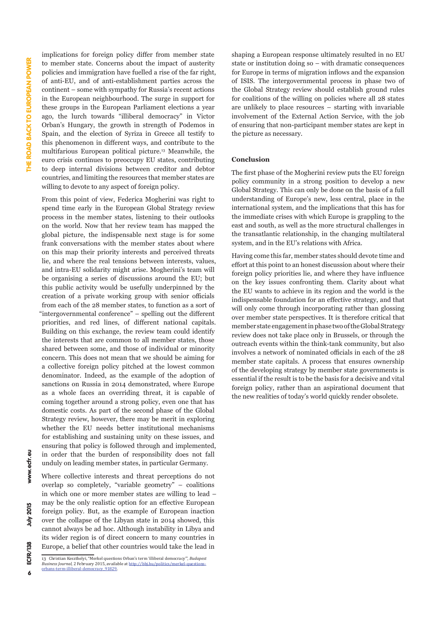implications for foreign policy differ from member state to member state. Concerns about the impact of austerity policies and immigration have fuelled a rise of the far right, of anti-EU, and of anti-establishment parties across the continent – some with sympathy for Russia's recent actions in the European neighbourhood. The surge in support for these groups in the European Parliament elections a year ago, the lurch towards "illiberal democracy" in Victor Orban's Hungary, the growth in strength of Podemos in Spain, and the election of Syriza in Greece all testify to this phenomenon in different ways, and contribute to the multifarious European political picture.13 Meanwhile, the euro crisis continues to preoccupy EU states, contributing to deep internal divisions between creditor and debtor countries, and limiting the resources that member states are willing to devote to any aspect of foreign policy.

From this point of view, Federica Mogherini was right to spend time early in the European Global Strategy review process in the member states, listening to their outlooks on the world. Now that her review team has mapped the global picture, the indispensable next stage is for some frank conversations with the member states about where on this map their priority interests and perceived threats lie, and where the real tensions between interests, values, and intra-EU solidarity might arise. Mogherini's team will be organising a series of discussions around the EU; but this public activity would be usefully underpinned by the creation of a private working group with senior officials from each of the 28 member states, to function as a sort of "intergovernmental conference" – spelling out the different priorities, and red lines, of different national capitals. Building on this exchange, the review team could identify the interests that are common to all member states, those shared between some, and those of individual or minority concern. This does not mean that we should be aiming for a collective foreign policy pitched at the lowest common denominator. Indeed, as the example of the adoption of sanctions on Russia in 2014 demonstrated, where Europe as a whole faces an overriding threat, it is capable of coming together around a strong policy, even one that has domestic costs. As part of the second phase of the Global Strategy review, however, there may be merit in exploring whether the EU needs better institutional mechanisms for establishing and sustaining unity on these issues, and ensuring that policy is followed through and implemented, in order that the burden of responsibility does not fall unduly on leading member states, in particular Germany.

Where collective interests and threat perceptions do not overlap so completely, "variable geometry" – coalitions in which one or more member states are willing to lead – may be the only realistic option for an effective European foreign policy. But, as the example of European inaction over the collapse of the Libyan state in 2014 showed, this cannot always be ad hoc. Although instability in Libya and its wider region is of direct concern to many countries in Europe, a belief that other countries would take the lead in

shaping a European response ultimately resulted in no EU state or institution doing so – with dramatic consequences for Europe in terms of migration inflows and the expansion of ISIS. The intergovernmental process in phase two of the Global Strategy review should establish ground rules for coalitions of the willing on policies where all 28 states are unlikely to place resources – starting with invariable involvement of the External Action Service, with the job of ensuring that non-participant member states are kept in the picture as necessary.

#### **Conclusion**

The first phase of the Mogherini review puts the EU foreign policy community in a strong position to develop a new Global Strategy. This can only be done on the basis of a full understanding of Europe's new, less central, place in the international system, and the implications that this has for the immediate crises with which Europe is grappling to the east and south, as well as the more structural challenges in the transatlantic relationship, in the changing multilateral system, and in the EU's relations with Africa.

Having come this far, member states should devote time and effort at this point to an honest discussion about where their foreign policy priorities lie, and where they have influence on the key issues confronting them. Clarity about what the EU wants to achieve in its region and the world is the indispensable foundation for an effective strategy, and that will only come through incorporating rather than glossing over member state perspectives. It is therefore critical that member state engagement in phase two of the Global Strategy review does not take place only in Brussels, or through the outreach events within the think-tank community, but also involves a network of nominated officials in each of the 28 member state capitals. A process that ensures ownership of the developing strategy by member state governments is essential if the result is to be the basis for a decisive and vital foreign policy, rather than an aspirational document that the new realities of today's world quickly render obsolete.

<sup>13</sup> Christian Keszthelyi, "Merkel questions Orban's term 'illiberal democracy'", *Budapest Business Journal*, 2 February 2015, available at [http://bbj.hu/politics/merkel-questions](http://bbj.hu/politics/merkel-questions-orbans-term-illiberal-democracy_91829)[orbans-term-illiberal-democracy\\_91829.](http://bbj.hu/politics/merkel-questions-orbans-term-illiberal-democracy_91829)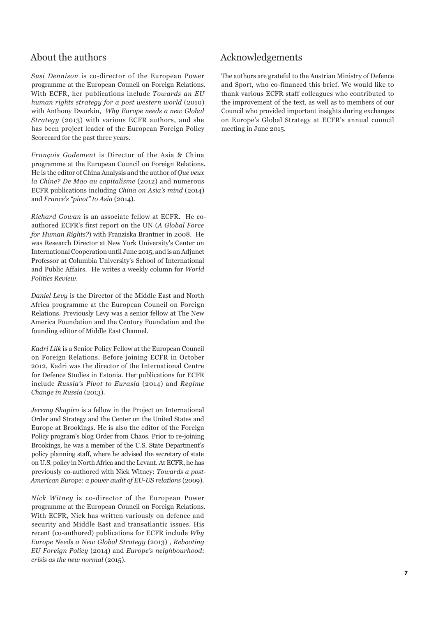### About the authors

*Susi Dennison* is co-director of the European Power programme at the European Council on Foreign Relations. With ECFR, her publications include *Towards an EU human rights strategy for a post western world* (2010) with Anthony Dworkin, *Why Europe needs a new Global Strategy* (2013) with various ECFR authors, and she has been project leader of the European Foreign Policy Scorecard for the past three years.

*François Godement* is Director of the Asia & China programme at the European Council on Foreign Relations. He is the editor of China Analysis and the author of *Que veux la Chine? De Mao au capitalisme* (2012) and numerous ECFR publications including *China on Asia's mind* (2014) and *France's "pivot" to Asia* (2014).

*Richard Gowan* is an associate fellow at ECFR. He coauthored ECFR's first report on the UN (*A Global Force for Human Rights?*) with Franziska Brantner in 2008. He was Research Director at New York University's Center on International Cooperation until June 2015, and is an Adjunct Professor at Columbia University's School of International and Public Affairs. He writes a weekly column for *World Politics Review*.

*Daniel Levy* is the Director of the Middle East and North Africa programme at the European Council on Foreign Relations. Previously Levy was a senior fellow at The New America Foundation and the Century Foundation and the founding editor of Middle East Channel.

*Kadri Liik* is a Senior Policy Fellow at the European Council on Foreign Relations. Before joining ECFR in October 2012, Kadri was the director of the International Centre for Defence Studies in Estonia. Her publications for ECFR include *Russia's Pivot to Eurasia* (2014) and *Regime Change in Russia* (2013).

*Jeremy Shapiro* is a fellow in the Project on International Order and Strategy and the Center on the United States and Europe at Brookings. He is also the editor of the Foreign Policy program's blog Order from Chaos. Prior to re-joining Brookings, he was a member of the U.S. State Department's policy planning staff, where he advised the secretary of state on U.S. policy in North Africa and the Levant. At ECFR, he has previously co-authored with Nick Witney: *Towards a post-American Europe: a power audit of EU-US relations* (2009).

*Nick Witney* is co-director of the European Power programme at the European Council on Foreign Relations. With ECFR, Nick has written variously on defence and security and Middle East and transatlantic issues. His recent (co-authored) publications for ECFR include *Why Europe Needs a New Global Strategy* (2013) , *Rebooting EU Foreign Policy* (2014) and *Europe's neighbourhood: crisis as the new normal* (2015).

## Acknowledgements

The authors are grateful to the Austrian Ministry of Defence and Sport, who co-financed this brief. We would like to thank various ECFR staff colleagues who contributed to the improvement of the text, as well as to members of our Council who provided important insights during exchanges on Europe's Global Strategy at ECFR's annual council meeting in June 2015.